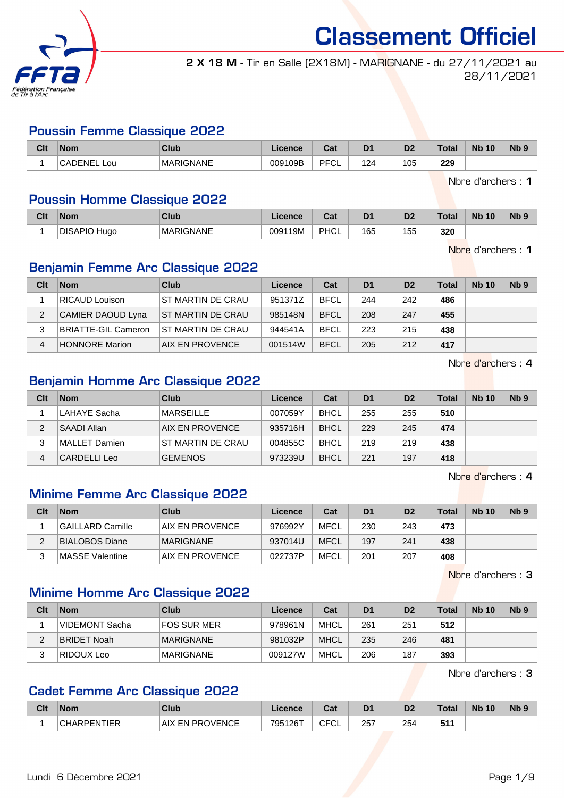

2 X 18 M - Tir en Salle (2X18M) - MARIGNANE - du 27/11/2021 au 28/11/2021

## Poussin Femme Classique 2022

| Clt | <b>Nom</b>                    | Club      | icanca<br>acence | <b>Tat</b><br>uai | D <sub>1</sub> | n <sub>o</sub><br>ש | <b>Lota</b><br>ota | <b>N<sub>b</sub></b><br>10 | N <sub>b</sub> 9 |
|-----|-------------------------------|-----------|------------------|-------------------|----------------|---------------------|--------------------|----------------------------|------------------|
|     | $\cap$ $\wedge$ .<br>:NEL Lou | MARIGNANE | 009109B          | <b>DECI</b><br>◡∟ | 2 <sup>2</sup> | 105                 | 229                |                            |                  |

Nbre d'archers : 1

### Poussin Homme Classique 2022

| Clt | <b>Nom</b>   | Club             | Licence | $R_{\rm{at}}$<br>ud. | D <sub>1</sub> | D <sub>2</sub> | <b>Total</b> | <b>Nb 10</b> | <b>N<sub>b</sub></b> |
|-----|--------------|------------------|---------|----------------------|----------------|----------------|--------------|--------------|----------------------|
|     | DISAPIO Hugo | <b>MARIGNANE</b> | 009119M | PHCL                 | 165            | 155            | 320          |              |                      |

Nbre d'archers : 1

### Benjamin Femme Arc Classique 2022

| Clt | <b>Nom</b>                 | Club              | Licence | Cat         | D <sub>1</sub> | D <sub>2</sub> | <b>Total</b> | <b>Nb 10</b> | Nb <sub>9</sub> |
|-----|----------------------------|-------------------|---------|-------------|----------------|----------------|--------------|--------------|-----------------|
|     | RICAUD Louison             | ST MARTIN DE CRAU | 951371Z | <b>BFCL</b> | 244            | 242            | 486          |              |                 |
| 2   | CAMIER DAOUD Lyna          | ST MARTIN DE CRAU | 985148N | <b>BFCL</b> | 208            | 247            | 455          |              |                 |
|     | <b>BRIATTE-GIL Cameron</b> | ST MARTIN DE CRAU | 944541A | <b>BFCL</b> | 223            | 215            | 438          |              |                 |
| 4   | <b>HONNORE Marion</b>      | AIX EN PROVENCE   | 001514W | <b>BFCL</b> | 205            | 212            | 417          |              |                 |

Nbre d'archers : 4

## Benjamin Homme Arc Classique 2022

| Clt | <b>Nom</b>    | Club              | Licence | Cat         | D <sub>1</sub> | D <sub>2</sub> | Total | <b>Nb 10</b> | N <sub>b</sub> <sub>9</sub> |
|-----|---------------|-------------------|---------|-------------|----------------|----------------|-------|--------------|-----------------------------|
|     | LAHAYE Sacha  | <b>MARSEILLE</b>  | 007059Y | <b>BHCL</b> | 255            | 255            | 510   |              |                             |
| 2   | SAADI Allan   | AIX EN PROVENCE   | 935716H | <b>BHCL</b> | 229            | 245            | 474   |              |                             |
| 3   | MALLET Damien | ST MARTIN DE CRAU | 004855C | <b>BHCL</b> | 219            | 219            | 438   |              |                             |
| 4   | CARDELLI Leo  | <b>GEMENOS</b>    | 973239U | <b>BHCL</b> | 221            | 197            | 418   |              |                             |

Nbre d'archers : 4

### Minime Femme Arc Classique 2022

| Clt | <b>Nom</b>       | Club             | Licence | Cat         | D <sub>1</sub> | D <sub>2</sub> | <b>Total</b> | <b>Nb 10</b> | Nb <sub>9</sub> |
|-----|------------------|------------------|---------|-------------|----------------|----------------|--------------|--------------|-----------------|
|     | GAILLARD Camille | AIX EN PROVENCE  | 976992Y | <b>MFCL</b> | 230            | 243            | 473          |              |                 |
|     | BIALOBOS Diane   | <b>MARIGNANE</b> | 937014U | <b>MFCL</b> | 197            | 241            | 438          |              |                 |
|     | MASSE Valentine  | AIX EN PROVENCE  | 022737P | MFCL        | 201            | 207            | 408          |              |                 |

Nbre d'archers : 3

### Minime Homme Arc Classique 2022

| Clt | <b>Nom</b>      | Club               | Licence | Cat         | D <sub>1</sub> | D <sub>2</sub> | <b>Total</b> | <b>Nb 10</b> | N <sub>b</sub> <sub>9</sub> |
|-----|-----------------|--------------------|---------|-------------|----------------|----------------|--------------|--------------|-----------------------------|
|     | ⊺VIDEMONT Sacha | <b>FOS SUR MER</b> | 978961N | MHCL        | 261            | 251            | 512          |              |                             |
| ົ   | BRIDET Noah     | <b>MARIGNANE</b>   | 981032P | <b>MHCL</b> | 235            | 246            | 481          |              |                             |
|     | RIDOUX Leo      | <b>MARIGNANE</b>   | 009127W | MHCL        | 206            | 187            | 393          |              |                             |

Nbre d'archers : 3

### Cadet Femme Arc Classique 2022

| Clt | <b>Nom</b>         | <b>Club</b>     | Licence | ่ ^^+<br>ual             | D <sub>1</sub> | D2  | Total | <b>Nb 10</b> | Nb <sub>9</sub> |
|-----|--------------------|-----------------|---------|--------------------------|----------------|-----|-------|--------------|-----------------|
|     | <b>CHARPENTIER</b> | AIX EN PROVENCE | 795126T | $\sim$ $\sim$<br>◡∟<br>◡ | 257            | 254 | 511   |              |                 |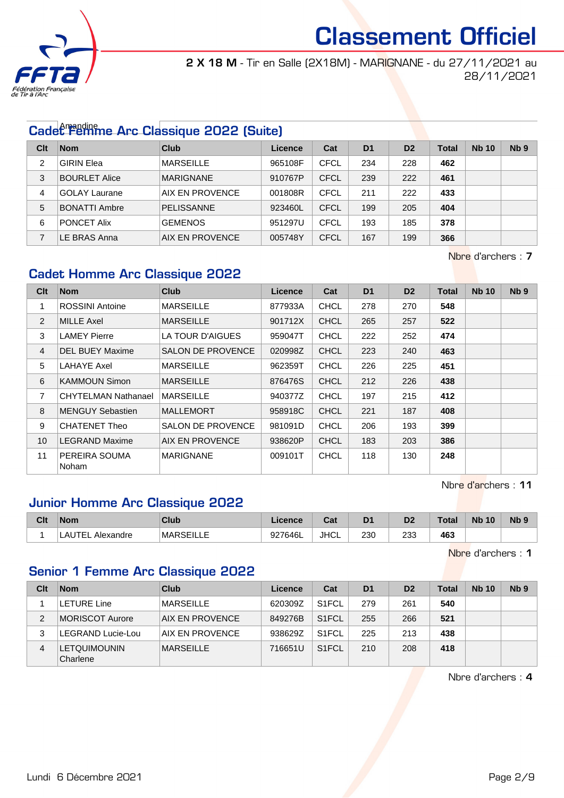

2 X 18 M - Tir en Salle (2X18M) - MARIGNANE - du 27/11/2021 au 28/11/2021

# Cadet Femme Arc Classique 2022 (Suite)

| Clt | <b>Nom</b>           | Club              | Licence | Cat         | D <sub>1</sub> | D <sub>2</sub> | Total | <b>Nb 10</b> | Nb <sub>9</sub> |
|-----|----------------------|-------------------|---------|-------------|----------------|----------------|-------|--------------|-----------------|
| 2   | <b>GIRIN Elea</b>    | <b>MARSEILLE</b>  | 965108F | <b>CFCL</b> | 234            | 228            | 462   |              |                 |
| 3   | <b>BOURLET Alice</b> | <b>MARIGNANE</b>  | 910767P | <b>CFCL</b> | 239            | 222            | 461   |              |                 |
| 4   | <b>GOLAY Laurane</b> | AIX EN PROVENCE   | 001808R | CFCL        | 211            | 222            | 433   |              |                 |
| 5   | <b>BONATTI Ambre</b> | <b>PELISSANNE</b> | 923460L | <b>CFCL</b> | 199            | 205            | 404   |              |                 |
| 6   | <b>PONCET Alix</b>   | <b>GEMENOS</b>    | 951297U | <b>CFCL</b> | 193            | 185            | 378   |              |                 |
|     | LE BRAS Anna         | AIX EN PROVENCE   | 005748Y | <b>CFCL</b> | 167            | 199            | 366   |              |                 |

Nbre d'archers : 7

### Cadet Homme Arc Classique 2022

| Clt            | <b>Nom</b>                 | <b>Club</b>              | <b>Licence</b> | Cat         | D <sub>1</sub> | D <sub>2</sub> | <b>Total</b> | <b>Nb 10</b> | Nb <sub>9</sub> |
|----------------|----------------------------|--------------------------|----------------|-------------|----------------|----------------|--------------|--------------|-----------------|
| 1              | <b>ROSSINI Antoine</b>     | <b>MARSEILLE</b>         | 877933A        | <b>CHCL</b> | 278            | 270            | 548          |              |                 |
| $\overline{2}$ | MILLE Axel                 | <b>MARSEILLE</b>         | 901712X        | <b>CHCL</b> | 265            | 257            | 522          |              |                 |
| 3              | <b>LAMEY Pierre</b>        | LA TOUR D'AIGUES         | 959047T        | <b>CHCL</b> | 222            | 252            | 474          |              |                 |
| $\overline{4}$ | <b>DEL BUEY Maxime</b>     | <b>SALON DE PROVENCE</b> | 020998Z        | <b>CHCL</b> | 223            | 240            | 463          |              |                 |
| 5              | LAHAYE Axel                | <b>MARSEILLE</b>         | 962359T        | <b>CHCL</b> | 226            | 225            | 451          |              |                 |
| 6              | <b>KAMMOUN Simon</b>       | <b>MARSEILLE</b>         | 876476S        | <b>CHCL</b> | 212            | 226            | 438          |              |                 |
| $\overline{7}$ | <b>CHYTELMAN Nathanael</b> | <b>MARSEILLE</b>         | 940377Z        | <b>CHCL</b> | 197            | 215            | 412          |              |                 |
| 8              | <b>MENGUY Sebastien</b>    | <b>MALLEMORT</b>         | 958918C        | <b>CHCL</b> | 221            | 187            | 408          |              |                 |
| 9              | CHATENET Theo              | SALON DE PROVENCE        | 981091D        | <b>CHCL</b> | 206            | 193            | 399          |              |                 |
| 10             | <b>LEGRAND Maxime</b>      | AIX EN PROVENCE          | 938620P        | <b>CHCL</b> | 183            | 203            | 386          |              |                 |
| 11             | PEREIRA SOUMA<br>Noham     | <b>MARIGNANE</b>         | 009101T        | <b>CHCL</b> | 118            | 130            | 248          |              |                 |

Nbre d'archers : 11

### Junior Homme Arc Classique 2022

| Clt | <b>Nom</b>            | Club             | Licence | $R_{\rm{eff}}$<br>ual | D <sub>1</sub> | n <sub>0</sub><br>ע | Tota | <b>N<sub>b</sub></b><br>10 | N <sub>b</sub> <sub>9</sub> |
|-----|-----------------------|------------------|---------|-----------------------|----------------|---------------------|------|----------------------------|-----------------------------|
|     | LAUTE!<br>. Alexandre | <b>MARSEILLE</b> | 927646L | <b>JHCL</b>           | 230<br>$\sim$  | 233<br>__           | 463  |                            |                             |

Nbre d'archers : 1

### Senior 1 Femme Arc Classique 2022

| Clt | <b>Nom</b>                      | Club             | Licence | Cat                | D <sub>1</sub> | D <sub>2</sub> | Total | <b>Nb 10</b> | N <sub>b</sub> <sub>9</sub> |
|-----|---------------------------------|------------------|---------|--------------------|----------------|----------------|-------|--------------|-----------------------------|
|     | <b>LETURE Line</b>              | <b>MARSEILLE</b> | 620309Z | S <sub>1</sub> FCL | 279            | 261            | 540   |              |                             |
| 2   | MORISCOT Aurore                 | AIX EN PROVENCE  | 849276B | S <sub>1</sub> FCL | 255            | 266            | 521   |              |                             |
| 3   | LEGRAND Lucie-Lou               | AIX EN PROVENCE  | 938629Z | S <sub>1</sub> FCL | 225            | 213            | 438   |              |                             |
| 4   | <b>LETQUIMOUNIN</b><br>Charlene | <b>MARSEILLE</b> | 716651U | S <sub>1</sub> FCL | 210            | 208            | 418   |              |                             |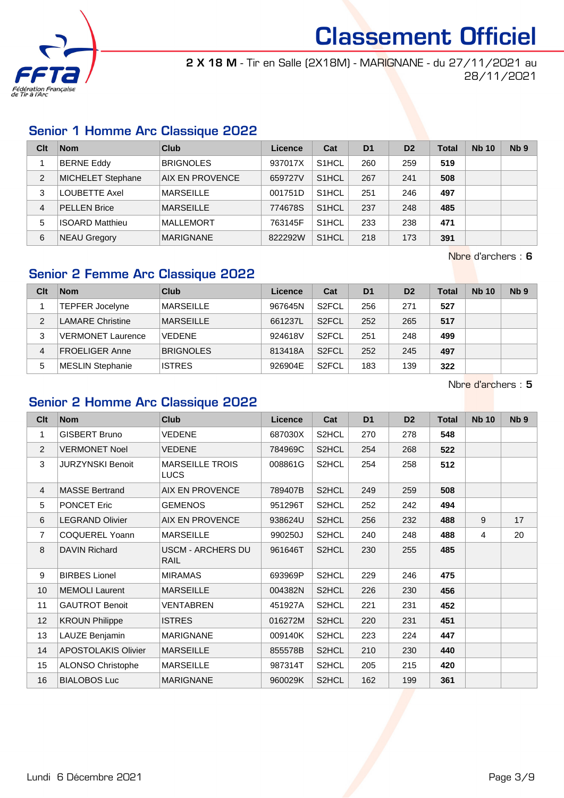

2 X 18 M - Tir en Salle (2X18M) - MARIGNANE - du 27/11/2021 au 28/11/2021

### Senior 1 Homme Arc Classique 2022

| Clt | <b>Nom</b>               | Club             | Licence | Cat                | D <sub>1</sub> | D <sub>2</sub> | Total | <b>Nb 10</b> | Nb <sub>9</sub> |
|-----|--------------------------|------------------|---------|--------------------|----------------|----------------|-------|--------------|-----------------|
|     | <b>BERNE Eddy</b>        | <b>BRIGNOLES</b> | 937017X | S <sub>1</sub> HCL | 260            | 259            | 519   |              |                 |
| 2   | <b>MICHELET Stephane</b> | AIX EN PROVENCE  | 659727V | S <sub>1</sub> HCL | 267            | 241            | 508   |              |                 |
| 3   | LOUBETTE Axel            | <b>MARSEILLE</b> | 001751D | S <sub>1</sub> HCL | 251            | 246            | 497   |              |                 |
| 4   | <b>PELLEN Brice</b>      | <b>MARSEILLE</b> | 774678S | S <sub>1</sub> HCL | 237            | 248            | 485   |              |                 |
| 5   | <b>ISOARD Matthieu</b>   | MALLEMORT        | 763145F | S <sub>1</sub> HCL | 233            | 238            | 471   |              |                 |
| 6   | <b>NEAU Gregory</b>      | <b>MARIGNANE</b> | 822292W | S <sub>1</sub> HCL | 218            | 173            | 391   |              |                 |

Nbre d'archers : 6

### Senior 2 Femme Arc Classique 2022

| Clt | <b>Nom</b>               | Club             | Licence | Cat                | D <sub>1</sub> | D <sub>2</sub> | <b>Total</b> | <b>Nb 10</b> | Nb <sub>9</sub> |
|-----|--------------------------|------------------|---------|--------------------|----------------|----------------|--------------|--------------|-----------------|
|     | TEPFER Jocelyne          | <b>MARSEILLE</b> | 967645N | S <sub>2</sub> FCL | 256            | 271            | 527          |              |                 |
| 2   | <b>LAMARE Christine</b>  | <b>MARSEILLE</b> | 661237L | S <sub>2</sub> FCL | 252            | 265            | 517          |              |                 |
| 3   | <b>VERMONET Laurence</b> | <b>VEDENE</b>    | 924618V | S <sub>2</sub> FCL | 251            | 248            | 499          |              |                 |
| 4   | <b>FROELIGER Anne</b>    | <b>BRIGNOLES</b> | 813418A | S <sub>2</sub> FCL | 252            | 245            | 497          |              |                 |
| 5   | <b>MESLIN Stephanie</b>  | <b>ISTRES</b>    | 926904E | S <sub>2</sub> FCL | 183            | 139            | 322          |              |                 |

Nbre d'archers : 5

### Senior 2 Homme Arc Classique 2022

| Cl <sub>t</sub> | <b>Nom</b>               | <b>Club</b>                           | <b>Licence</b> | Cat                | D <sub>1</sub> | D <sub>2</sub> | <b>Total</b> | <b>Nb 10</b> | Nb <sub>9</sub> |
|-----------------|--------------------------|---------------------------------------|----------------|--------------------|----------------|----------------|--------------|--------------|-----------------|
| 1               | <b>GISBERT Bruno</b>     | <b>VEDENE</b>                         | 687030X        | S2HCL              | 270            | 278            | 548          |              |                 |
| 2               | <b>VERMONET Noel</b>     | <b>VEDENE</b>                         | 784969C        | S2HCL              | 254            | 268            | 522          |              |                 |
| 3               | <b>JURZYNSKI Benoit</b>  | <b>MARSEILLE TROIS</b><br><b>LUCS</b> | 008861G        | S2HCL              | 254            | 258            | 512          |              |                 |
| $\overline{4}$  | <b>MASSE Bertrand</b>    | <b>AIX EN PROVENCE</b>                | 789407B        | S2HCL              | 249            | 259            | 508          |              |                 |
| 5               | <b>PONCET Eric</b>       | <b>GEMENOS</b>                        | 951296T        | S2HCL              | 252            | 242            | 494          |              |                 |
| 6               | <b>LEGRAND Olivier</b>   | <b>AIX EN PROVENCE</b>                | 938624U        | S2HCL              | 256            | 232            | 488          | 9            | 17              |
| $\overline{7}$  | COQUEREL Yoann           | <b>MARSEILLE</b>                      | 990250J        | S2HCL              | 240            | 248            | 488          | 4            | 20              |
| 8               | <b>DAVIN Richard</b>     | <b>USCM - ARCHERS DU</b><br>RAIL      | 961646T        | S2HCL              | 230            | 255            | 485          |              |                 |
| 9               | <b>BIRBES Lionel</b>     | <b>MIRAMAS</b>                        | 693969P        | S2HCL              | 229            | 246            | 475          |              |                 |
| 10              | <b>MEMOLI Laurent</b>    | <b>MARSEILLE</b>                      | 004382N        | S <sub>2</sub> HCL | 226            | 230            | 456          |              |                 |
| 11              | <b>GAUTROT Benoit</b>    | VENTABREN                             | 451927A        | S2HCL              | 221            | 231            | 452          |              |                 |
| 12              | <b>KROUN Philippe</b>    | <b>ISTRES</b>                         | 016272M        | S <sub>2</sub> HCL | 220            | 231            | 451          |              |                 |
| 13              | LAUZE Benjamin           | <b>MARIGNANE</b>                      | 009140K        | S2HCL              | 223            | 224            | 447          |              |                 |
| 14              | APOSTOLAKIS Olivier      | <b>MARSEILLE</b>                      | 855578B        | S2HCL              | 210            | 230            | 440          |              |                 |
| 15              | <b>ALONSO Christophe</b> | <b>MARSEILLE</b>                      | 987314T        | S2HCL              | 205            | 215            | 420          |              |                 |
| 16              | <b>BIALOBOS Luc</b>      | <b>MARIGNANE</b>                      | 960029K        | S2HCL              | 162            | 199            | 361          |              |                 |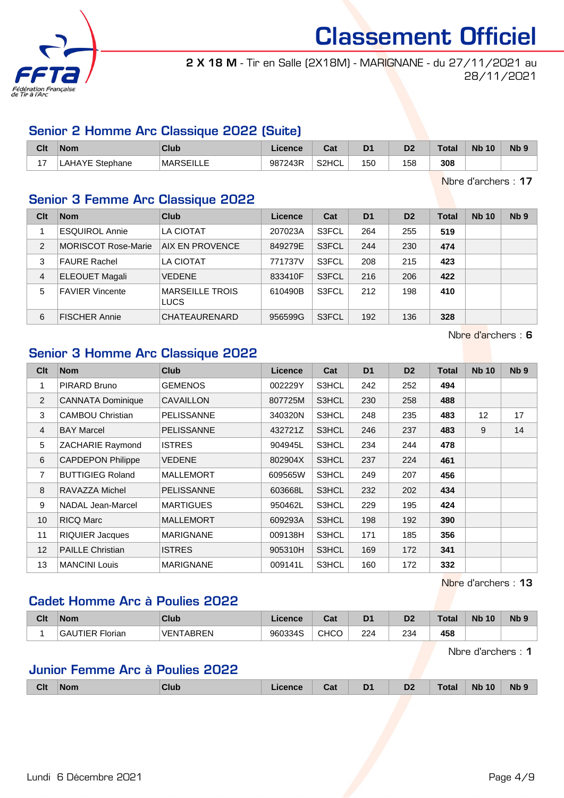

2 X 18 M - Tir en Salle (2X18M) - MARIGNANE - du 27/11/2021 au 28/11/2021

### Senior 2 Homme Arc Classique 2022 (Suite)

| Clt            | <b>Nom</b>     | Club             | Licence | ◠∼<br>ual | D <sub>1</sub> | D <sub>2</sub> | <b>Total</b> | <b>N<sub>b</sub></b><br>10 | N <sub>b</sub> <sub>9</sub> |
|----------------|----------------|------------------|---------|-----------|----------------|----------------|--------------|----------------------------|-----------------------------|
| $\overline{ }$ | AHAYE Stephane | <b>MARSEILLE</b> | 987243R | S2HCL     | 150            | 158            | 308          |                            |                             |

Nbre d'archers : 17

### Senior 3 Femme Arc Classique 2022

| Clt            | <b>Nom</b>                 | Club                                  | Licence | Cat   | D <sub>1</sub> | D <sub>2</sub> | Total | <b>Nb 10</b> | Nb <sub>9</sub> |
|----------------|----------------------------|---------------------------------------|---------|-------|----------------|----------------|-------|--------------|-----------------|
|                | <b>ESQUIROL Annie</b>      | LA CIOTAT                             | 207023A | S3FCL | 264            | 255            | 519   |              |                 |
| $\overline{2}$ | <b>MORISCOT Rose-Marie</b> | AIX EN PROVENCE                       | 849279E | S3FCL | 244            | 230            | 474   |              |                 |
| 3              | <b>FAURE Rachel</b>        | LA CIOTAT                             | 771737V | S3FCL | 208            | 215            | 423   |              |                 |
| $\overline{4}$ | <b>ELEOUET Magali</b>      | <b>VEDENE</b>                         | 833410F | S3FCL | 216            | 206            | 422   |              |                 |
| 5              | <b>FAVIER Vincente</b>     | <b>MARSEILLE TROIS</b><br><b>LUCS</b> | 610490B | S3FCL | 212            | 198            | 410   |              |                 |
| 6              | <b>FISCHER Annie</b>       | CHATEAURENARD                         | 956599G | S3FCL | 192            | 136            | 328   |              |                 |

Nbre d'archers : 6

### Senior 3 Homme Arc Classique 2022

| <b>Clt</b>     | <b>Nom</b>               | <b>Club</b>       | <b>Licence</b> | Cat   | D <sub>1</sub> | D <sub>2</sub> | <b>Total</b> | <b>Nb 10</b> | N <sub>b</sub> <sub>9</sub> |
|----------------|--------------------------|-------------------|----------------|-------|----------------|----------------|--------------|--------------|-----------------------------|
| 1              | PIRARD Bruno             | <b>GEMENOS</b>    | 002229Y        | S3HCL | 242            | 252            | 494          |              |                             |
| $\overline{2}$ | <b>CANNATA Dominique</b> | <b>CAVAILLON</b>  | 807725M        | S3HCL | 230            | 258            | 488          |              |                             |
| 3              | <b>CAMBOU Christian</b>  | <b>PELISSANNE</b> | 340320N        | S3HCL | 248            | 235            | 483          | 12           | 17                          |
| 4              | <b>BAY Marcel</b>        | <b>PELISSANNE</b> | 432721Z        | S3HCL | 246            | 237            | 483          | 9            | 14                          |
| 5              | ZACHARIE Raymond         | <b>ISTRES</b>     | 904945L        | S3HCL | 234            | 244            | 478          |              |                             |
| 6              | <b>CAPDEPON Philippe</b> | <b>VEDENE</b>     | 802904X        | S3HCL | 237            | 224            | 461          |              |                             |
| 7              | <b>BUTTIGIEG Roland</b>  | <b>MALLEMORT</b>  | 609565W        | S3HCL | 249            | 207            | 456          |              |                             |
| 8              | RAVAZZA Michel           | <b>PELISSANNE</b> | 603668L        | S3HCL | 232            | 202            | 434          |              |                             |
| 9              | NADAL Jean-Marcel        | <b>MARTIGUES</b>  | 950462L        | S3HCL | 229            | 195            | 424          |              |                             |
| 10             | <b>RICQ Marc</b>         | <b>MALLEMORT</b>  | 609293A        | S3HCL | 198            | 192            | 390          |              |                             |
| 11             | <b>RIQUIER Jacques</b>   | <b>MARIGNANE</b>  | 009138H        | S3HCL | 171            | 185            | 356          |              |                             |
| 12             | <b>PAILLE Christian</b>  | <b>ISTRES</b>     | 905310H        | S3HCL | 169            | 172            | 341          |              |                             |
| 13             | <b>MANCINI Louis</b>     | <b>MARIGNANE</b>  | 009141L        | S3HCL | 160            | 172            | 332          |              |                             |

Nbre d'archers : 13

### Cadet Homme Arc à Poulies 2022

| Clt | <b>Nom</b>                | Club             | .icence | <b>Cat</b><br>val | D <sub>1</sub> | D <sub>2</sub> | <b>Total</b> | <b>N<sub>b</sub></b><br>, 10 | Nb <sub>9</sub> |
|-----|---------------------------|------------------|---------|-------------------|----------------|----------------|--------------|------------------------------|-----------------|
|     | <b>GAUTIER</b><br>Florian | <b>UFNTABREN</b> | 960334S | снсс              | 224            | 234            | 458          |                              |                 |

Nbre d'archers : 1

### Junior Femme Arc à Poulies 2022

| Clt<br>Nb 9<br>D <sub>1</sub><br>D <sub>2</sub><br><b>Total</b><br><b>N<sub>b</sub></b><br>10<br><b>Nom</b><br>Club<br>Licence<br>$\sim$<br>val |
|-------------------------------------------------------------------------------------------------------------------------------------------------|
|-------------------------------------------------------------------------------------------------------------------------------------------------|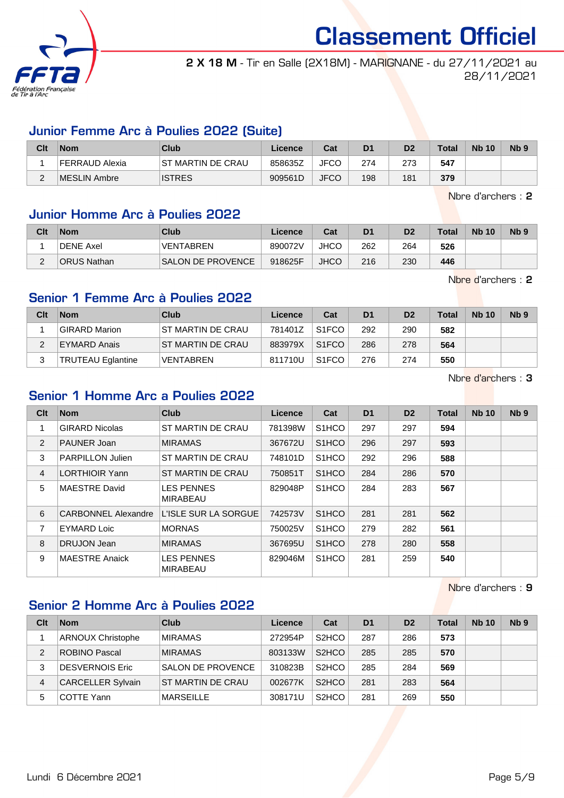

2 X 18 M - Tir en Salle (2X18M) - MARIGNANE - du 27/11/2021 au 28/11/2021

### Junior Femme Arc à Poulies 2022 (Suite)

| Clt    | <b>Nom</b>     | Club               | Licence | Cat         | D <sub>1</sub> | D <sub>2</sub> | <b>Total</b> | <b>Nb 10</b> | N <sub>b</sub> <sub>9</sub> |
|--------|----------------|--------------------|---------|-------------|----------------|----------------|--------------|--------------|-----------------------------|
|        | FERRAUD Alexia | IST MARTIN DE CRAU | 858635Z | <b>JFCO</b> | 274            | 273            | 547          |              |                             |
| $\sim$ | MESLIN Ambre   | <b>ISTRES</b>      | 909561D | <b>JFCO</b> | 198            | 181            | 379          |              |                             |

Nbre d'archers : 2

### Junior Homme Arc à Poulies 2022

| Clt | <b>Nom</b>         | Club                     | Licence | Cat         | D <sub>1</sub> | D <sub>2</sub> | Total | <b>Nb 10</b> | N <sub>b</sub> <sub>9</sub> |
|-----|--------------------|--------------------------|---------|-------------|----------------|----------------|-------|--------------|-----------------------------|
|     | <b>DENE Axel</b>   | VENTABREN                | 890072V | JHCC        | 262            | 264            | 526   |              |                             |
|     | <b>ORUS Nathan</b> | <b>SALON DE PROVENCE</b> | 918625F | <b>JHCO</b> | 216            | 230            | 446   |              |                             |

Nbre d'archers : 2

### Senior 1 Femme Arc à Poulies 2022

| Clt | <b>Nom</b>               | Club               | Licence | Cat                | D <sub>1</sub> | D <sub>2</sub> | <b>Total</b> | <b>Nb 10</b> | Nb <sub>9</sub> |
|-----|--------------------------|--------------------|---------|--------------------|----------------|----------------|--------------|--------------|-----------------|
|     | GIRARD Marion            | IST MARTIN DE CRAU | 781401Z | S <sub>1</sub> FCO | 292            | 290            | 582          |              |                 |
|     | EYMARD Anais             | IST MARTIN DE CRAU | 883979X | S <sub>1</sub> FCO | 286            | 278            | 564          |              |                 |
|     | <b>TRUTEAU Eglantine</b> | <b>VENTABREN</b>   | 811710U | S <sub>1</sub> FCO | 276            | 274            | 550          |              |                 |

Nbre d'archers : 3

### Senior 1 Homme Arc a Poulies 2022

| Clt            | <b>Nom</b>                 | <b>Club</b>                          | Licence | Cat                | D <sub>1</sub> | D <sub>2</sub> | <b>Total</b> | <b>Nb 10</b> | N <sub>b</sub> <sub>9</sub> |
|----------------|----------------------------|--------------------------------------|---------|--------------------|----------------|----------------|--------------|--------------|-----------------------------|
|                | <b>GIRARD Nicolas</b>      | ST MARTIN DE CRAU                    | 781398W | S <sub>1</sub> HCO | 297            | 297            | 594          |              |                             |
| 2              | <b>PAUNER Joan</b>         | <b>MIRAMAS</b>                       | 367672U | S <sub>1</sub> HCO | 296            | 297            | 593          |              |                             |
| 3              | <b>PARPILLON Julien</b>    | ST MARTIN DE CRAU                    | 748101D | S <sub>1</sub> HCO | 292            | 296            | 588          |              |                             |
| $\overline{4}$ | <b>LORTHIOIR Yann</b>      | ST MARTIN DE CRAU                    | 750851T | S <sub>1</sub> HCO | 284            | 286            | 570          |              |                             |
| 5              | MAESTRE David              | <b>LES PENNES</b><br>MIRABEAU        | 829048P | S <sub>1</sub> HCO | 284            | 283            | 567          |              |                             |
| 6              | <b>CARBONNEL Alexandre</b> | L'ISLE SUR LA SORGUE                 | 742573V | S <sub>1</sub> HCO | 281            | 281            | 562          |              |                             |
| 7              | <b>EYMARD Loic</b>         | <b>MORNAS</b>                        | 750025V | S <sub>1</sub> HCO | 279            | 282            | 561          |              |                             |
| 8              | DRUJON Jean                | <b>MIRAMAS</b>                       | 367695U | S <sub>1</sub> HCO | 278            | 280            | 558          |              |                             |
| 9              | <b>MAESTRE Anaick</b>      | <b>LES PENNES</b><br><b>MIRABEAU</b> | 829046M | S <sub>1</sub> HCO | 281            | 259            | 540          |              |                             |

Nbre d'archers : 9

### Senior 2 Homme Arc à Poulies 2022

| Clt | <b>Nom</b>               | Club                     | Licence | Cat                            | D <sub>1</sub> | D <sub>2</sub> | <b>Total</b> | <b>Nb 10</b> | N <sub>b</sub> <sub>9</sub> |
|-----|--------------------------|--------------------------|---------|--------------------------------|----------------|----------------|--------------|--------------|-----------------------------|
|     | <b>ARNOUX Christophe</b> | <b>MIRAMAS</b>           | 272954P | S <sub>2</sub> HCO             | 287            | 286            | 573          |              |                             |
| 2   | ROBINO Pascal            | <b>MIRAMAS</b>           | 803133W | S <sub>2</sub> HCO             | 285            | 285            | 570          |              |                             |
| 3   | DESVERNOIS Eric          | <b>SALON DE PROVENCE</b> | 310823B | S <sub>2</sub> HCO             | 285            | 284            | 569          |              |                             |
| 4   | <b>CARCELLER Sylvain</b> | ST MARTIN DE CRAU        | 002677K | S <sub>2</sub> HCO             | 281            | 283            | 564          |              |                             |
| 5   | COTTE Yann               | <b>MARSEILLE</b>         | 308171U | S <sub>2</sub> H <sub>CO</sub> | 281            | 269            | 550          |              |                             |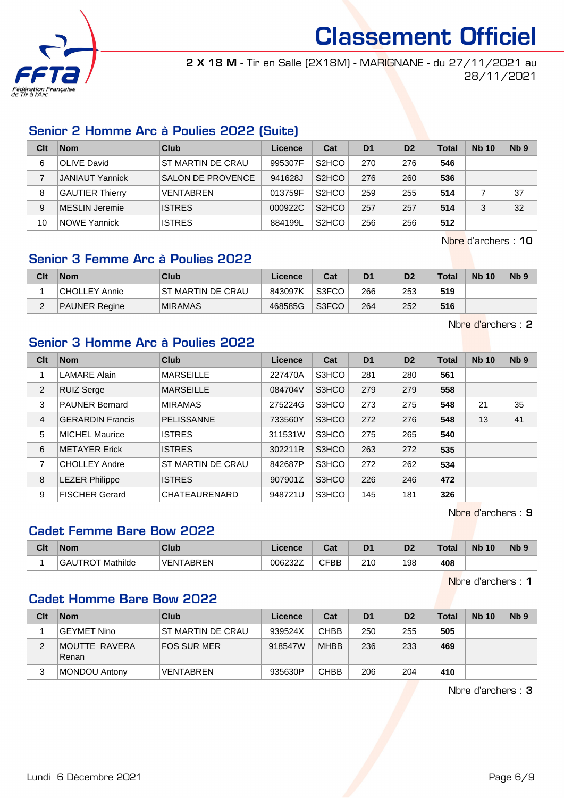

2 X 18 M - Tir en Salle (2X18M) - MARIGNANE - du 27/11/2021 au 28/11/2021

### Senior 2 Homme Arc à Poulies 2022 (Suite)

| Clt | <b>Nom</b>             | Club                     | Licence | Cat                | D <sub>1</sub> | D <sub>2</sub> | Total | <b>Nb 10</b> | Nb <sub>9</sub> |
|-----|------------------------|--------------------------|---------|--------------------|----------------|----------------|-------|--------------|-----------------|
| 6   | <b>OLIVE David</b>     | ST MARTIN DE CRAU        | 995307F | S <sub>2</sub> HCO | 270            | 276            | 546   |              |                 |
|     | <b>JANIAUT Yannick</b> | <b>SALON DE PROVENCE</b> | 941628J | S <sub>2</sub> HCO | 276            | 260            | 536   |              |                 |
| 8   | <b>GAUTIER Thierry</b> | <b>VENTABREN</b>         | 013759F | S <sub>2</sub> HCO | 259            | 255            | 514   |              | 37              |
| 9   | MESLIN Jeremie         | <b>ISTRES</b>            | 000922C | S <sub>2</sub> HCO | 257            | 257            | 514   |              | 32              |
| 10  | NOWE Yannick           | <b>ISTRES</b>            | 884199L | S <sub>2</sub> HCO | 256            | 256            | 512   |              |                 |

Nbre d'archers : 10

### Senior 3 Femme Arc à Poulies 2022

| Clt    | <b>Nom</b>           | Club               | Licence | Cat   | D1  | D2  | <b>Total</b> | <b>Nb 10</b> | N <sub>b</sub> <sub>9</sub> |
|--------|----------------------|--------------------|---------|-------|-----|-----|--------------|--------------|-----------------------------|
|        | CHOLLEY Annie        | IST MARTIN DE CRAU | 843097K | S3FCO | 266 | 253 | 519          |              |                             |
| $\sim$ | <b>PAUNER Regine</b> | <b>MIRAMAS</b>     | 468585G | S3FCO | 264 | 252 | 516          |              |                             |

Nbre d'archers : 2

### Senior 3 Homme Arc à Poulies 2022

| Clt | <b>Nom</b>              | Club                 | Licence | Cat   | D <sub>1</sub> | D <sub>2</sub> | <b>Total</b> | <b>Nb 10</b> | Nb <sub>9</sub> |
|-----|-------------------------|----------------------|---------|-------|----------------|----------------|--------------|--------------|-----------------|
|     | <b>LAMARE Alain</b>     | <b>MARSEILLE</b>     | 227470A | S3HCO | 281            | 280            | 561          |              |                 |
| 2   | <b>RUIZ Serge</b>       | <b>MARSEILLE</b>     | 084704V | S3HCO | 279            | 279            | 558          |              |                 |
| 3   | <b>PAUNER Bernard</b>   | <b>MIRAMAS</b>       | 275224G | S3HCO | 273            | 275            | 548          | 21           | 35              |
| 4   | <b>GERARDIN Francis</b> | <b>PELISSANNE</b>    | 733560Y | S3HCO | 272            | 276            | 548          | 13           | 41              |
| 5   | <b>MICHEL Maurice</b>   | <b>ISTRES</b>        | 311531W | S3HCO | 275            | 265            | 540          |              |                 |
| 6   | <b>METAYER Erick</b>    | <b>ISTRES</b>        | 302211R | S3HCO | 263            | 272            | 535          |              |                 |
| 7   | <b>CHOLLEY Andre</b>    | ST MARTIN DE CRAU    | 842687P | S3HCO | 272            | 262            | 534          |              |                 |
| 8   | <b>LEZER Philippe</b>   | <b>ISTRES</b>        | 907901Z | S3HCO | 226            | 246            | 472          |              |                 |
| 9   | <b>FISCHER Gerard</b>   | <b>CHATEAURENARD</b> | 948721U | S3HCO | 145            | 181            | 326          |              |                 |

Nbre d'archers : 9

### Cadet Femme Bare Bow 2022

| Clt | <b>Nom</b>                | <b>Club</b>          | <b>Licence</b> | $F - F$<br>ual | D1  | D2  | Total | <b>N<sub>b</sub></b><br>10 | N <sub>b</sub> <sub>9</sub> |
|-----|---------------------------|----------------------|----------------|----------------|-----|-----|-------|----------------------------|-----------------------------|
|     | Mathilde<br><b>GAUTRO</b> | <b>ARREN</b><br>VEN. | 006232Z        | <b>CFBB</b>    | 210 | 198 | 408   |                            |                             |

Nbre d'archers : 1

### Cadet Homme Bare Bow 2022

| Clt | <b>Nom</b>             | Club                     | Licence | Cat         | D <sub>1</sub> | D <sub>2</sub> | Total | <b>Nb 10</b> | Nb <sub>9</sub> |
|-----|------------------------|--------------------------|---------|-------------|----------------|----------------|-------|--------------|-----------------|
|     | GEYMET Nino            | <b>ST MARTIN DE CRAU</b> | 939524X | CHBB        | 250            | 255            | 505   |              |                 |
| 2   | MOUTTE RAVERA<br>Renan | FOS SUR MER              | 918547W | <b>MHBB</b> | 236            | 233            | 469   |              |                 |
| 3   | MONDOU Antony          | VENTABREN                | 935630P | <b>CHBB</b> | 206            | 204            | 410   |              |                 |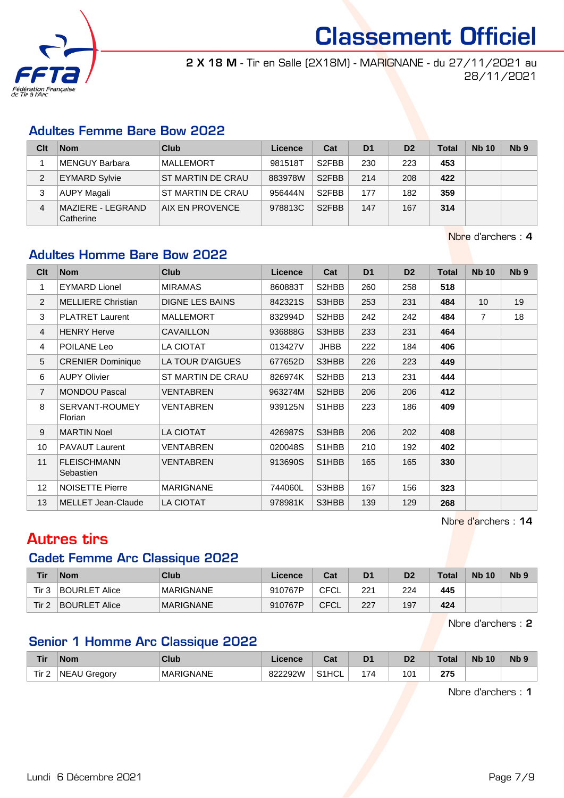![](_page_6_Picture_0.jpeg)

2 X 18 M - Tir en Salle (2X18M) - MARIGNANE - du 27/11/2021 au 28/11/2021

### Adultes Femme Bare Bow 2022

| Clt | <b>Nom</b>                     | Club              | Licence | Cat                | D <sub>1</sub> | D <sub>2</sub> | <b>Total</b> | <b>Nb 10</b> | Nb <sub>9</sub> |
|-----|--------------------------------|-------------------|---------|--------------------|----------------|----------------|--------------|--------------|-----------------|
|     | MENGUY Barbara                 | <b>MALLEMORT</b>  | 981518T | S <sub>2</sub> FBB | 230            | 223            | 453          |              |                 |
|     | <b>EYMARD Sylvie</b>           | ST MARTIN DE CRAU | 883978W | S <sub>2</sub> FBB | 214            | 208            | 422          |              |                 |
| 3   | AUPY Magali                    | ST MARTIN DE CRAU | 956444N | S <sub>2</sub> FBB | 177            | 182            | 359          |              |                 |
| 4   | MAZIERE - LEGRAND<br>Catherine | AIX EN PROVENCE   | 978813C | S <sub>2</sub> FBB | 147            | 167            | 314          |              |                 |

Nbre d'archers : 4

### Adultes Homme Bare Bow 2022

| Clt             | <b>Nom</b>                      | <b>Club</b>            | Licence | Cat         | D <sub>1</sub> | D <sub>2</sub> | <b>Total</b> | <b>Nb 10</b>   | N <sub>b</sub> <sub>9</sub> |
|-----------------|---------------------------------|------------------------|---------|-------------|----------------|----------------|--------------|----------------|-----------------------------|
| 1               | <b>EYMARD Lionel</b>            | <b>MIRAMAS</b>         | 860883T | S2HBB       | 260            | 258            | 518          |                |                             |
| 2               | <b>MELLIERE Christian</b>       | <b>DIGNE LES BAINS</b> | 842321S | S3HBB       | 253            | 231            | 484          | 10             | 19                          |
| 3               | <b>PLATRET Laurent</b>          | <b>MALLEMORT</b>       | 832994D | S2HBB       | 242            | 242            | 484          | $\overline{7}$ | 18                          |
| $\overline{4}$  | <b>HENRY Herve</b>              | <b>CAVAILLON</b>       | 936888G | S3HBB       | 233            | 231            | 464          |                |                             |
| 4               | POILANE Leo                     | LA CIOTAT              | 013427V | <b>JHBB</b> | 222            | 184            | 406          |                |                             |
| 5               | <b>CRENIER Dominique</b>        | LA TOUR D'AIGUES       | 677652D | S3HBB       | 226            | 223            | 449          |                |                             |
| 6               | <b>AUPY Olivier</b>             | ST MARTIN DE CRAU      | 826974K | S2HBB       | 213            | 231            | 444          |                |                             |
| $\overline{7}$  | <b>MONDOU Pascal</b>            | VENTABREN              | 963274M | S2HBB       | 206            | 206            | 412          |                |                             |
| 8               | SERVANT-ROUMEY<br>Florian       | <b>VENTABREN</b>       | 939125N | S1HBB       | 223            | 186            | 409          |                |                             |
| 9               | <b>MARTIN Noel</b>              | <b>LA CIOTAT</b>       | 426987S | S3HBB       | 206            | 202            | 408          |                |                             |
| 10              | <b>PAVAUT Laurent</b>           | VENTABREN              | 020048S | S1HBB       | 210            | 192            | 402          |                |                             |
| 11              | <b>FLEISCHMANN</b><br>Sebastien | VENTABREN              | 913690S | S1HBB       | 165            | 165            | 330          |                |                             |
| 12 <sup>2</sup> | <b>NOISETTE Pierre</b>          | <b>MARIGNANE</b>       | 744060L | S3HBB       | 167            | 156            | 323          |                |                             |
| 13              | <b>MELLET Jean-Claude</b>       | <b>LA CIOTAT</b>       | 978981K | S3HBB       | 139            | 129            | 268          |                |                             |

Nbre d'archers : 14

## Autres tirs

### Cadet Femme Arc Classique 2022

| Tir   | <b>Nom</b>           | Club             | Licence | Cat  | D <sub>1</sub> | D <sub>2</sub> | <b>Total</b> | <b>Nb 10</b> | N <sub>b</sub> 9 |
|-------|----------------------|------------------|---------|------|----------------|----------------|--------------|--------------|------------------|
| Tir 3 | BOURLET Alice        | <b>MARIGNANE</b> | 910767P | CFCL | 221            | 224            | 445          |              |                  |
| Tir 2 | <b>BOURLET Alice</b> | <b>MARIGNANE</b> | 910767P | CFCL | 227            | 197            | 424          |              |                  |

Nbre d'archers : 2

### Senior 1 Homme Arc Classique 2022

| <b>Tir</b>       | <b>Nom</b>          | <b>Club</b> | Licence | Cat                | D1                                         | Dź  | <b>Total</b> | <b>N<sub>b</sub></b><br>10 | N <sub>b</sub> <sub>9</sub> |
|------------------|---------------------|-------------|---------|--------------------|--------------------------------------------|-----|--------------|----------------------------|-----------------------------|
| Tir <sub>2</sub> | <b>NEAU Gregory</b> | MARIGNANE   | 822292W | S <sub>1</sub> HCL | $\overline{\phantom{a}}$<br>$\prime\prime$ | ١Ο٬ | クフド<br>21 J  |                            |                             |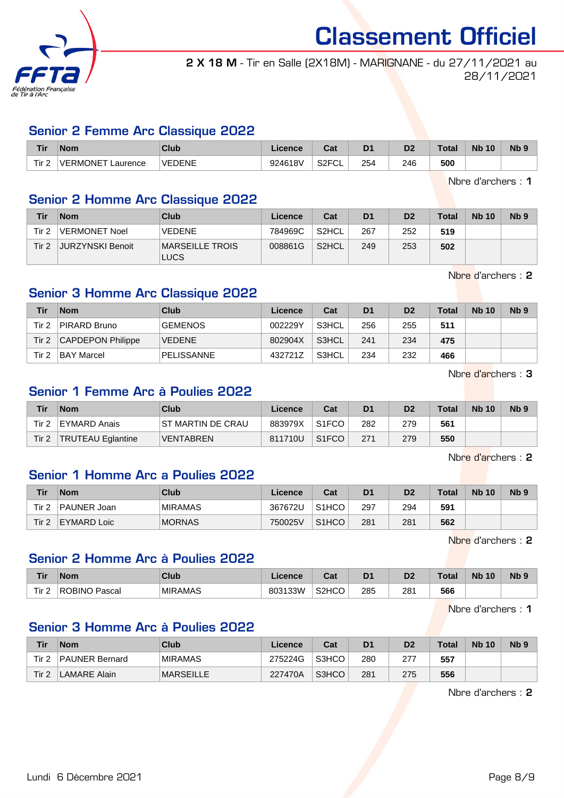![](_page_7_Picture_0.jpeg)

2 X 18 M - Tir en Salle (2X18M) - MARIGNANE - du 27/11/2021 au 28/11/2021

### Senior 2 Femme Arc Classique 2022

| Tir              | <b>Nom</b>                   | Club          | Licence | $P_{\mathbf{a}}$<br>ca    | D <sub>1</sub> | D <sub>2</sub> | Total | <b>N<sub>b</sub></b><br>10 | N <sub>b</sub> <sub>9</sub> |
|------------------|------------------------------|---------------|---------|---------------------------|----------------|----------------|-------|----------------------------|-----------------------------|
| Tir <sub>2</sub> | <b>IVERMONET</b><br>Laurence | <b>VEDENE</b> | 924618V | S <sub>2</sub> FCL<br>⊤ບ∟ | 254            | 246            | 500   |                            |                             |

Nbre d'archers : 1

### Senior 2 Homme Arc Classique 2022

| Tir   | <b>Nom</b>              | <b>Club</b>                    | Licence | Cat                | D <sub>1</sub> | D <sub>2</sub> | <b>Total</b> | <b>Nb 10</b> | N <sub>b</sub> 9 |
|-------|-------------------------|--------------------------------|---------|--------------------|----------------|----------------|--------------|--------------|------------------|
| Tir 2 | <b>VERMONET Noel</b>    | <b>VEDENE</b>                  | 784969C | S <sub>2</sub> HCL | 267            | 252            | 519          |              |                  |
| Tir 2 | <b>JURZYNSKI Benoit</b> | MARSEILLE TROIS<br><b>LUCS</b> | 008861G | S <sub>2</sub> HCL | 249            | 253            | 502          |              |                  |

Nbre d'archers : 2

### Senior 3 Homme Arc Classique 2022

| Tir   | <b>Nom</b>               | Club           | Licence | Cat   | D <sub>1</sub> | D <sub>2</sub> | Total | <b>Nb 10</b> | N <sub>b</sub> 9 |
|-------|--------------------------|----------------|---------|-------|----------------|----------------|-------|--------------|------------------|
| Tir 2 | PIRARD Bruno             | <b>GEMENOS</b> | 002229Y | S3HCL | 256            | 255            | 511   |              |                  |
| Tir 2 | <b>CAPDEPON Philippe</b> | <b>VEDENE</b>  | 802904X | S3HCL | 241            | 234            | 475   |              |                  |
| Tir 2 | <b>BAY Marcel</b>        | PELISSANNE     | 432721Z | S3HCL | 234            | 232            | 466   |              |                  |

Nbre d'archers : 3

### Senior 1 Femme Arc à Poulies 2022

| Tir   | <b>Nom</b>               | Club               | Licence | Cat                | D <sub>1</sub> | D <sub>2</sub> | <b>Total</b> | <b>Nb 10</b> | Nb <sub>9</sub> |
|-------|--------------------------|--------------------|---------|--------------------|----------------|----------------|--------------|--------------|-----------------|
| Tir 2 | EYMARD Anais             | IST MARTIN DE CRAU | 883979X | S <sub>1</sub> FCO | 282            | 279            | 561          |              |                 |
| Tir 2 | <b>TRUTEAU Eglantine</b> | <b>VENTABREN</b>   | 811710U | S <sub>1</sub> FCO | 271            | 279            | 550          |              |                 |

Nbre d'archers : 2

### Senior 1 Homme Arc a Poulies 2022

| Tir   | <b>Nom</b>  | Club           | Licence | Cat                | D <sub>1</sub> | D <sub>2</sub> | <b>Total</b> | <b>Nb 10</b> | N <sub>b</sub> 9 |
|-------|-------------|----------------|---------|--------------------|----------------|----------------|--------------|--------------|------------------|
| Tir 2 | PAUNER Joan | <b>MIRAMAS</b> | 367672U | S <sub>1</sub> HCO | 297            | 294            | 591          |              |                  |
| Tir 2 | EYMARD Loic | <b>MORNAS</b>  | 750025V | S <sub>1</sub> HCO | 281            | 281            | 562          |              |                  |

Nbre d'archers : 2

### Senior 2 Homme Arc à Poulies 2022

| <b>Tir</b>            | <b>Nom</b>    | <b>Club</b>    | Licence | <b>Cat</b><br>ual  | D <sub>1</sub> | D <sub>0</sub><br>ש | Total | <b>Nb</b><br>10 | <b>Nb</b> |
|-----------------------|---------------|----------------|---------|--------------------|----------------|---------------------|-------|-----------------|-----------|
| Tir <sub>2</sub><br>- | ROBINO Pascal | <b>MIRAMAS</b> | 803133W | S <sub>2</sub> HCO | 285            | 281<br>$\sim$       | 566   |                 |           |

Nbre d'archers : 1

### Senior 3 Homme Arc à Poulies 2022

| Tir   | <b>Nom</b>            | Club             | Licence | Cat   | D <sub>1</sub> | D <sub>2</sub> | <b>Total</b> | <b>Nb 10</b> | Nb <sub>9</sub> |
|-------|-----------------------|------------------|---------|-------|----------------|----------------|--------------|--------------|-----------------|
| Tir 2 | <b>PAUNER Bernard</b> | <b>MIRAMAS</b>   | 275224G | S3HCO | 280            |                | 557          |              |                 |
| Tir 2 | LAMARE Alain          | <b>MARSEILLE</b> | 227470A | S3HCO | 281            | 275            | 556          |              |                 |